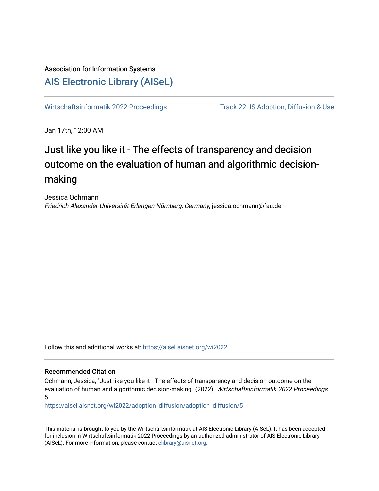# Association for Information Systems [AIS Electronic Library \(AISeL\)](https://aisel.aisnet.org/)

[Wirtschaftsinformatik 2022 Proceedings](https://aisel.aisnet.org/wi2022) Track 22: IS Adoption, Diffusion & Use

Jan 17th, 12:00 AM

# Just like you like it - The effects of transparency and decision outcome on the evaluation of human and algorithmic decisionmaking

Jessica Ochmann Friedrich-Alexander-Universität Erlangen-Nürnberg, Germany, jessica.ochmann@fau.de

Follow this and additional works at: [https://aisel.aisnet.org/wi2022](https://aisel.aisnet.org/wi2022?utm_source=aisel.aisnet.org%2Fwi2022%2Fadoption_diffusion%2Fadoption_diffusion%2F5&utm_medium=PDF&utm_campaign=PDFCoverPages) 

# Recommended Citation

Ochmann, Jessica, "Just like you like it - The effects of transparency and decision outcome on the evaluation of human and algorithmic decision-making" (2022). Wirtschaftsinformatik 2022 Proceedings. 5.

[https://aisel.aisnet.org/wi2022/adoption\\_diffusion/adoption\\_diffusion/5](https://aisel.aisnet.org/wi2022/adoption_diffusion/adoption_diffusion/5?utm_source=aisel.aisnet.org%2Fwi2022%2Fadoption_diffusion%2Fadoption_diffusion%2F5&utm_medium=PDF&utm_campaign=PDFCoverPages) 

This material is brought to you by the Wirtschaftsinformatik at AIS Electronic Library (AISeL). It has been accepted for inclusion in Wirtschaftsinformatik 2022 Proceedings by an authorized administrator of AIS Electronic Library (AISeL). For more information, please contact [elibrary@aisnet.org](mailto:elibrary@aisnet.org%3E).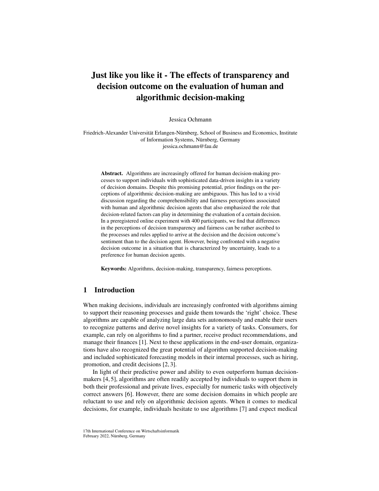# Just like you like it - The effects of transparency and decision outcome on the evaluation of human and algorithmic decision-making

Jessica Ochmann

Friedrich-Alexander Universität Erlangen-Nürnberg, School of Business and Economics, Institute of Information Systems, Nürnberg, Germany jessica.ochmann@fau.de

Abstract. Algorithms are increasingly offered for human decision-making processes to support individuals with sophisticated data-driven insights in a variety of decision domains. Despite this promising potential, prior findings on the perceptions of algorithmic decision-making are ambiguous. This has led to a vivid discussion regarding the comprehensibility and fairness perceptions associated with human and algorithmic decision agents that also emphasized the role that decision-related factors can play in determining the evaluation of a certain decision. In a preregistered online experiment with 400 participants, we find that differences in the perceptions of decision transparency and fairness can be rather ascribed to the processes and rules applied to arrive at the decision and the decision outcome's sentiment than to the decision agent. However, being confronted with a negative decision outcome in a situation that is characterized by uncertainty, leads to a preference for human decision agents.

Keywords: Algorithms, decision-making, transparency, fairness perceptions.

# 1 Introduction

When making decisions, individuals are increasingly confronted with algorithms aiming to support their reasoning processes and guide them towards the 'right' choice. These algorithms are capable of analyzing large data sets autonomously and enable their users to recognize patterns and derive novel insights for a variety of tasks. Consumers, for example, can rely on algorithms to find a partner, receive product recommendations, and manage their finances [\[1\]](#page-13-0). Next to these applications in the end-user domain, organizations have also recognized the great potential of algorithm supported decision-making and included sophisticated forecasting models in their internal processes, such as hiring, promotion, and credit decisions [\[2,](#page-13-1) [3\]](#page-13-2).

In light of their predictive power and ability to even outperform human decisionmakers [\[4,](#page-13-3) [5\]](#page-13-4), algorithms are often readily accepted by individuals to support them in both their professional and private lives, especially for numeric tasks with objectively correct answers [\[6\]](#page-13-5). However, there are some decision domains in which people are reluctant to use and rely on algorithmic decision agents. When it comes to medical decisions, for example, individuals hesitate to use algorithms [\[7\]](#page-13-6) and expect medical

<sup>17</sup>th International Conference on Wirtschaftsinformatik February 2022, Nürnberg, Germany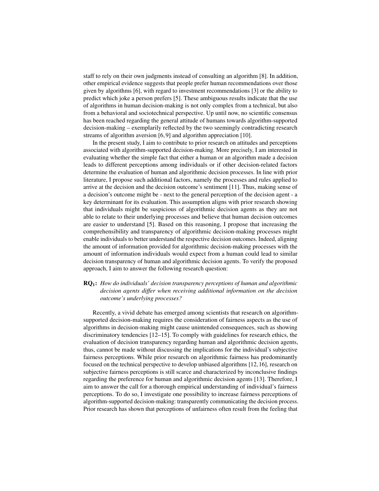staff to rely on their own judgments instead of consulting an algorithm [\[8\]](#page-13-7). In addition, other empirical evidence suggests that people prefer human recommendations over those given by algorithms [\[6\]](#page-13-5), with regard to investment recommendations [\[3\]](#page-13-2) or the ability to predict which joke a person prefers [\[5\]](#page-13-4). These ambiguous results indicate that the use of algorithms in human decision-making is not only complex from a technical, but also from a behavioral and sociotechnical perspective. Up until now, no scientific consensus has been reached regarding the general attitude of humans towards algorithm-supported decision-making – exemplarily reflected by the two seemingly contradicting research streams of algorithm aversion [\[6,](#page-13-5) [9\]](#page-13-8) and algorithm appreciation [\[10\]](#page-13-9).

In the present study, I aim to contribute to prior research on attitudes and perceptions associated with algorithm-supported decision-making. More precisely, I am interested in evaluating whether the simple fact that either a human or an algorithm made a decision leads to different perceptions among individuals or if other decision-related factors determine the evaluation of human and algorithmic decision processes. In line with prior literature, I propose such additional factors, namely the processes and rules applied to arrive at the decision and the decision outcome's sentiment [\[11\]](#page-13-10). Thus, making sense of a decision's outcome might be - next to the general perception of the decision agent - a key determinant for its evaluation. This assumption aligns with prior research showing that individuals might be suspicious of algorithmic decision agents as they are not able to relate to their underlying processes and believe that human decision outcomes are easier to understand [\[5\]](#page-13-4). Based on this reasoning, I propose that increasing the comprehensibility and transparency of algorithmic decision-making processes might enable individuals to better understand the respective decision outcomes. Indeed, aligning the amount of information provided for algorithmic decision-making processes with the amount of information individuals would expect from a human could lead to similar decision transparency of human and algorithmic decision agents. To verify the proposed approach, I aim to answer the following research question:

# RQ1: *How do individuals' decision transparency perceptions of human and algorithmic decision agents differ when receiving additional information on the decision outcome's underlying processes?*

Recently, a vivid debate has emerged among scientists that research on algorithmsupported decision-making requires the consideration of fairness aspects as the use of algorithms in decision-making might cause unintended consequences, such as showing discriminatory tendencies [\[12](#page-13-11)[–15\]](#page-13-12). To comply with guidelines for research ethics, the evaluation of decision transparency regarding human and algorithmic decision agents, thus, cannot be made without discussing the implications for the individual's subjective fairness perceptions. While prior research on algorithmic fairness has predominantly focused on the technical perspective to develop unbiased algorithms [\[12,](#page-13-11) [16\]](#page-13-13), research on subjective fairness perceptions is still scarce and characterized by inconclusive findings regarding the preference for human and algorithmic decision agents [\[13\]](#page-13-14). Therefore, I aim to answer the call for a thorough empirical understanding of individual's fairness perceptions. To do so, I investigate one possibility to increase fairness perceptions of algorithm-supported decision-making: transparently communicating the decision process. Prior research has shown that perceptions of unfairness often result from the feeling that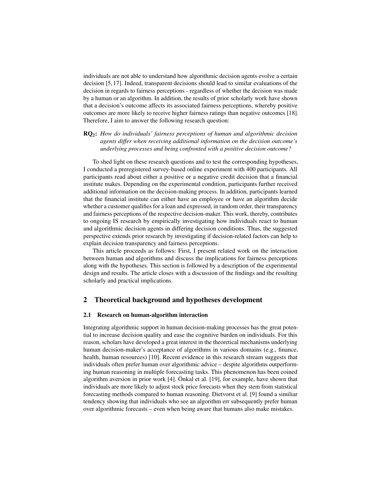individuals are not able to understand how algorithmic decision agents evolve a certain decision [\[5,](#page-13-4) [17\]](#page-13-15). Indeed, transparent decisions should lead to similar evaluations of the decision in regards to fairness perceptions - regardless of whether the decision was made by a human or an algorithm. In addition, the results of prior scholarly work have shown that a decision's outcome affects its associated fairness perceptions, whereby positive outcomes are more likely to receive higher fairness ratings than negative outcomes [\[18\]](#page-13-16). Therefore, I aim to answer the following research question:

RQ2: *How do individuals' fairness perceptions of human and algorithmic decision agents differ when receiving additional information on the decision outcome's underlying processes and being confronted with a positive decision outcome?*

To shed light on these research questions and to test the corresponding hypotheses, I conducted a preregistered survey-based online experiment with 400 participants. All participants read about either a positive or a negative credit decision that a financial institute makes. Depending on the experimental condition, participants further received additional information on the decision-making process. In addition, participants learned that the financial institute can either have an employee or have an algorithm decide whether a customer qualifies for a loan and expressed, in random order, their transparency and fairness perceptions of the respective decision-maker. This work, thereby, contributes to ongoing IS research by empirically investigating how individuals react to human and algorithmic decision agents in differing decision conditions. Thus, the suggested perspective extends prior research by investigating if decision-related factors can help to explain decision transparency and fairness perceptions.

This article proceeds as follows: First, I present related work on the interaction between human and algorithms and discuss the implications for fairness perceptions along with the hypotheses. This section is followed by a description of the experimental design and results. The article closes with a discussion of the findings and the resulting scholarly and practical implications.

# 2 Theoretical background and hypotheses development

#### 2.1 Research on human-algorithm interaction

Integrating algorithmic support in human decision-making processes has the great potential to increase decision quality and ease the cognitive burden on individuals. For this reason, scholars have developed a great interest in the theoretical mechanisms underlying human decision-maker's acceptance of algorithms in various domains (e.g., finance, health, human resources) [\[10\]](#page-13-9). Recent evidence in this research stream suggests that individuals often prefer human over algorithmic advice – despite algorithms outperforming human reasoning in multiple forecasting tasks. This phenomenon has been coined algorithm aversion in prior work [\[4\]](#page-13-3). Önkal et al. [\[19\]](#page-13-17), for example, have shown that individuals are more likely to adjust stock price forecasts when they stem from statistical forecasting methods compared to human reasoning. Dietvorst et al. [\[9\]](#page-13-8) found a similiar tendency showing that individuals who see an algorithm err subsequently prefer human over algorithmic forecasts – even when being aware that humans also make mistakes.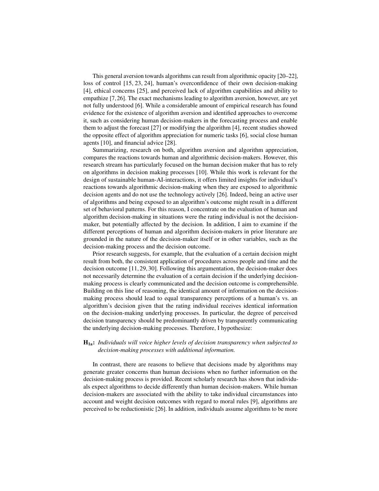This general aversion towards algorithms can result from algorithmic opacity [\[20](#page-14-0)[–22\]](#page-14-1), loss of control [\[15,](#page-13-12) [23,](#page-14-2) [24\]](#page-14-3), human's overconfidence of their own decision-making [\[4\]](#page-13-3), ethical concerns [\[25\]](#page-14-4), and perceived lack of algorithm capabilities and ability to empathize [\[7,](#page-13-6) [26\]](#page-14-5). The exact mechanisms leading to algorithm aversion, however, are yet not fully understood [\[6\]](#page-13-5). While a considerable amount of empirical research has found evidence for the existence of algorithm aversion and identified approaches to overcome it, such as considering human decision-makers in the forecasting process and enable them to adjust the forecast [\[27\]](#page-14-6) or modifying the algorithm [\[4\]](#page-13-3), recent studies showed the opposite effect of algorithm appreciation for numeric tasks [\[6\]](#page-13-5), social close human agents [\[10\]](#page-13-9), and financial advice [\[28\]](#page-14-7).

Summarizing, research on both, algorithm aversion and algorithm appreciation, compares the reactions towards human and algorithmic decision-makers. However, this research stream has particularly focused on the human decision maker that has to rely on algorithms in decision making processes [\[10\]](#page-13-9). While this work is relevant for the design of sustainable human-AI-interactions, it offers limited insights for individual's reactions towards algorithmic decision-making when they are exposed to algorithmic decision agents and do not use the technology actively [\[26\]](#page-14-5). Indeed, being an active user of algorithms and being exposed to an algorithm's outcome might result in a different set of behavioral patterns. For this reason, I concentrate on the evaluation of human and algorithm decision-making in situations were the rating individual is not the decisionmaker, but potentially affected by the decision. In addition, I aim to examine if the different perceptions of human and algorithm decision-makers in prior literature are grounded in the nature of the decision-maker itself or in other variables, such as the decision-making process and the decision outcome.

Prior research suggests, for example, that the evaluation of a certain decision might result from both, the consistent application of procedures across people and time and the decision outcome [\[11,](#page-13-10) [29,](#page-14-8) [30\]](#page-14-9). Following this argumentation, the decision-maker does not necessarily determine the evaluation of a certain decision if the underlying decisionmaking process is clearly communicated and the decision outcome is comprehensible. Building on this line of reasoning, the identical amount of information on the decisionmaking process should lead to equal transparency perceptions of a human's vs. an algorithm's decision given that the rating individual receives identical information on the decision-making underlying processes. In particular, the degree of perceived decision transparency should be predominantly driven by transparently communicating the underlying decision-making processes. Therefore, I hypothesize:

## H1a: *Individuals will voice higher levels of decision transparency when subjected to decision-making processes with additional information.*

In contrast, there are reasons to believe that decisions made by algorithms may generate greater concerns than human decisions when no further information on the decision-making process is provided. Recent scholarly research has shown that individuals expect algorithms to decide differently than human decision-makers. While human decision-makers are associated with the ability to take individual circumstances into account and weight decision outcomes with regard to moral rules [\[9\]](#page-13-8), algorithms are perceived to be reductionistic [\[26\]](#page-14-5). In addition, individuals assume algorithms to be more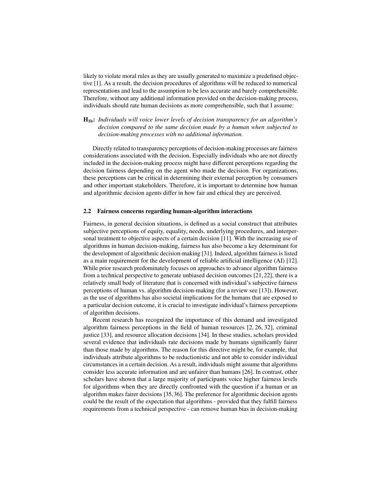likely to violate moral rules as they are usually generated to maximize a predefined objective [\[1\]](#page-13-0). As a result, the decision procedures of algorithms will be reduced to numerical representations and lead to the assumption to be less accurate and barely comprehensible. Therefore, without any additional information provided on the decision-making process, individuals should rate human decisions as more comprehensible, such that I assume:

# H1b: *Individuals will voice lower levels of decision transparency for an algorithm's decision compared to the same decision made by a human when subjected to decision-making processes with no additional information.*

Directly related to transparency perceptions of decision-making processes are fairness considerations associated with the decision. Especially individuals who are not directly included in the decision-making process might have different perceptions regarding the decision fairness depending on the agent who made the decision. For organizations, these perceptions can be critical in determining their external perception by consumers and other important stakeholders. Therefore, it is important to determine how human and algorithmic decision agents differ in how fair and ethical they are perceived.

#### 2.2 Fairness concerns regarding human-algorithm interactions

Fairness, in general decision situations, is defined as a social construct that attributes subjective perceptions of equity, equality, needs, underlying procedures, and interpersonal treatment to objective aspects of a certain decision [\[11\]](#page-13-10). With the increasing use of algorithms in human decision-making, fairness has also become a key determinant for the development of algorithmic decision-making [\[31\]](#page-14-10). Indeed, algorithm fairness is listed as a main requirement for the development of reliable artificial intelligence (AI) [\[12\]](#page-13-11). While prior research predominately focuses on approaches to advance algorithm fairness from a technical perspective to generate unbiased decision outcomes [\[21,](#page-14-11) [22\]](#page-14-1), there is a relatively small body of literature that is concerned with individual's subjective fairness perceptions of human vs. algorithm decision-making (for a review see [\[13\]](#page-13-14)). However, as the use of algorithms has also societal implications for the humans that are exposed to a particular decision outcome, it is crucial to investigate individual's fairness perceptions of algorithm decisions.

Recent research has recognized the importance of this demand and investigated algorithm fairness perceptions in the field of human resources [\[2,](#page-13-1) [26,](#page-14-5) [32\]](#page-14-12), criminal justice [\[33\]](#page-14-13), and resource allocation decisions [\[34\]](#page-14-14). In these studies, scholars provided several evidence that individuals rate decisions made by humans significantly fairer than those made by algorithms. The reason for this directive might be, for example, that individuals attribute algorithms to be reductionistic and not able to consider individual circumstances in a certain decision. As a result, individuals might assume that algorithms consider less accurate information and are unfairer than humans [\[26\]](#page-14-5). In contrast, other scholars have shown that a large majority of participants voice higher fairness levels for algorithms when they are directly confronted with the question if a human or an algorithm makes fairer decisions [\[35,](#page-14-15) [36\]](#page-14-16). The preference for algorithmic decision agents could be the result of the expectation that algorithms - provided that they fulfill fairness requirements from a technical perspective - can remove human bias in decision-making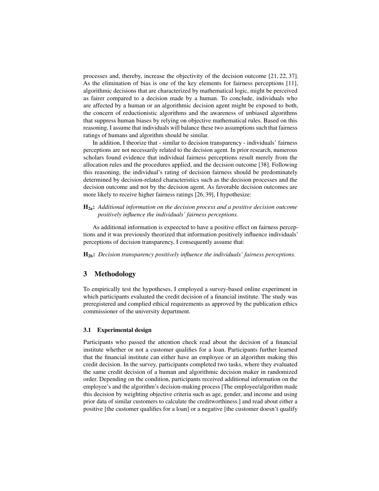processes and, thereby, increase the objectivity of the decision outcome [\[21,](#page-14-11) [22,](#page-14-1) [37\]](#page-14-17). As the elimination of bias is one of the key elements for fairness perceptions [\[11\]](#page-13-10), algorithmic decisions that are characterized by mathematical logic, might be perceived as fairer compared to a decision made by a human. To conclude, individuals who are affected by a human or an algorithmic decision agent might be exposed to both, the concern of reductionistic algorithms and the awareness of unbiased algorithms that suppress human biases by relying on objective mathematical rules. Based on this reasoning, I assume that individuals will balance these two assumptions such that fairness ratings of humans and algorithm should be similar.

In addition, I theorize that - similar to decision transparency - individuals' fairness perceptions are not necessarily related to the decision agent. In prior research, numerous scholars found evidence that individual fairness perceptions result merely from the allocation rules and the procedures applied, and the decision outcome [\[38\]](#page-14-18). Following this reasoning, the individual's rating of decision fairness should be predominately determined by decision-related characteristics such as the decision processes and the decision outcome and not by the decision agent. As favorable decision outcomes are more likely to receive higher fairness ratings [\[26,](#page-14-5) [39\]](#page-15-0), I hypothesize:

H2a: *Additional information on the decision process and a positive decision outcome positively influence the individuals' fairness perceptions.*

As additional information is expeected to have a positive effect on fairness perceptions and it was previously theorized that information positively influence individuals' perceptions of decision transparency, I consequently assume that:

H2b: *Decision transparency positively influence the individuals' fairness perceptions.*

# 3 Methodology

To empirically test the hypotheses, I employed a survey-based online experiment in which participants evaluated the credit decision of a financial institute. The study was preregistered and complied ethical requirements as approved by the publication ethics commissioner of the university department.

#### 3.1 Experimental design

Participants who passed the attention check read about the decision of a financial institute whether or not a customer qualifies for a loan. Participants further learned that the financial institute can either have an employee or an algorithm making this credit decision. In the survey, participants completed two tasks, where they evaluated the same credit decision of a human and algorithmic decision maker in randomized order. Depending on the condition, participants received additional information on the employee's and the algorithm's decision-making process [The employee/algorithm made this decision by weighting objective criteria such as age, gender, and income and using prior data of similar customers to calculate the creditworthiness.] and read about either a positive [the customer qualifies for a loan] or a negative [the customer doesn't qualify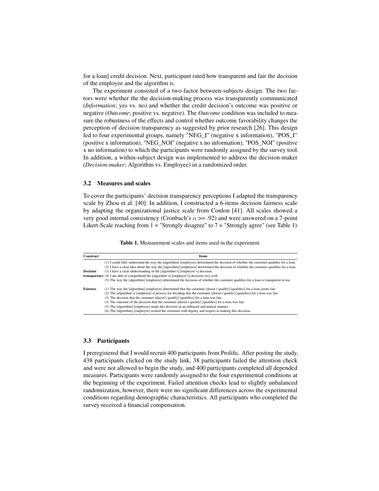for a loan] credit decision. Next, participant rated how transparent and fair the decision of the employee and the algorithm is.

The experiment consisted of a two-factor between-subjects design. The two factors were whether the the decision-making process was transparently communicated (*Information*; yes vs. no) and whether the credit decision's outcome was positive or negative (*Outcome*; positive vs. negative). The *Outcome* condition was included to measure the robustness of the effects and control whether outcome favorability changes the perception of decision transparency as suggested by prior research [\[26\]](#page-14-5). This design led to four experimental groups, namely "NEG\_I" (negative x information), "POS\_I" (positive x information), "NEG\_NOI" (negative x no information), "POS\_NOI" (positive x no information) to which the participants were randomly assigned by the survey tool. In addition, a within-subject design was implemented to address the decision-maker (*Decision-maker*; Algorithm vs. Employee) in a randomized order.

#### 3.2 Measures and scales

To cover the participants' decision transparency perceptions I adapted the transparency scale by Zhou et al. [\[40\]](#page-15-1). In addition, I constructed a 6-items decision fairness scale by adapting the organizational justice scale from Conlon [\[41\]](#page-15-2). All scales showed a very good internal consistency (Cronbach's  $\alpha$  >= .92) and were answered on a 7-point Likert-Scale reaching from  $1 =$  "Strongly disagree" to  $7 =$  "Strongly agree" (see Table [1\)](#page-7-0).

Table 1. Measurement scales and items used in the experiment.

<span id="page-7-0"></span>

| Construct       | <b>Items</b>                                                                                                                                                                                                                                                                    |
|-----------------|---------------------------------------------------------------------------------------------------------------------------------------------------------------------------------------------------------------------------------------------------------------------------------|
|                 | (1) I could fully understand the way the [algorithm] [employee] determined the decision of whether the customer qualifies for a loan.<br>(2) I have a clear idea about the way the [algorithm] [employee] determined the decision of whether the customer qualifies for a loan. |
| <b>Decision</b> | (3) I have a clear understanding of the [algorithm's] [employee's] decision.                                                                                                                                                                                                    |
|                 | <b>transparency</b> (4) I am able to comprehend the [algorithm's] [employee's] decision very well.                                                                                                                                                                              |
|                 | (5) The way the [algorithm] [employee] determined the decision of whether the customer qualifies for a loan is transparent to me.                                                                                                                                               |
| <b>Fairness</b> | (1) The way the [algorithm] [employee] determined that the customer [doesn't qualify] [qualifies] for a loan seems fair.                                                                                                                                                        |
|                 | (2) The [algorithm's] [employee's] process for deciding that the customer [doesn't qualify] [qualifies] for a loan was fair.                                                                                                                                                    |
|                 | (3) The decision that the customer [doesn't qualify] [qualifies] for a loan was fair.                                                                                                                                                                                           |
|                 | (4) The outcome of the decision that the customer [doesn't qualify] [qualifies] for a loan was fair.                                                                                                                                                                            |
|                 | (5) The [algorithm] [employee] made this decision in an unbiased and neutral manner.                                                                                                                                                                                            |
|                 | (6) The [algorithm] [employee] treated the customer with dignity and respect in making this decision.                                                                                                                                                                           |

#### 3.3 Participants

I preregistered that I would recruit 400 participants from Prolific. After posting the study, 438 participants clicked on the study link, 38 participants failed the attention check and were not allowed to begin the study, and 400 participants completed all depended measures. Participants were randomly assigned to the four experimental conditions at the beginning of the experiment. Failed attention checks lead to slightly unbalanced randomization, however, there were no significant differences across the experimental conditions regarding demographic characteristics. All participants who completed the survey received a financial compensation.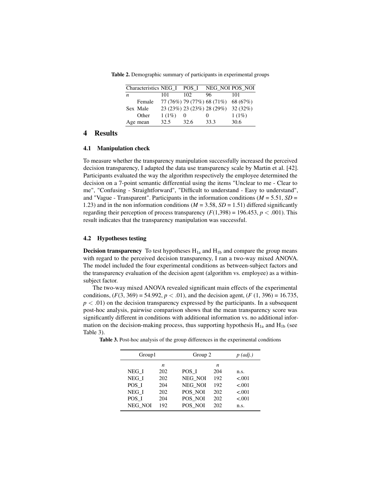Table 2. Demographic summary of participants in experimental groups

| Characteristics NEG I |          | POS I    | NEG NOI POS NOI            |          |
|-----------------------|----------|----------|----------------------------|----------|
| n                     | 101      | 102      | 96                         | 101      |
| Female                |          |          | 77 (76%) 79 (77%) 68 (71%) | 68 (67%) |
| Sex Male              |          |          | 23 (23%) 23 (23%) 28 (29%) | 32(32%)  |
| Other                 | $1(1\%)$ | $\theta$ |                            | $1(1\%)$ |
| Age mean              | 32.5     | 32.6     | 33.3                       | 30.6     |

# 4 Results

#### 4.1 Manipulation check

To measure whether the transparency manipulation successfully increased the perceived decision transparency, I adapted the data use transparency scale by Martin et al. [\[42\]](#page-15-3). Participants evaluated the way the algorithm respectively the employee determined the decision on a 7-point semantic differential using the items "Unclear to me - Clear to me", "Confusing - Straightforward", "Difficult to understand - Easy to understand", and "Vague - Transparent". Participants in the information conditions ( $M = 5.51$ ,  $SD =$ 1.23) and in the non information conditions ( $M = 3.58$ ,  $SD = 1.51$ ) differed significantly regarding their perception of process transparency  $(F(1,398) = 196.453, p < .001)$ . This result indicates that the transparency manipulation was successful.

#### 4.2 Hypotheses testing

**Decision transparency** To test hypotheses  $H_{1a}$  and  $H_{1b}$  and compare the group means with regard to the perceived decision transparency, I ran a two-way mixed ANOVA. The model included the four experimental conditions as between-subject factors and the transparency evaluation of the decision agent (algorithm vs. employee) as a withinsubject factor.

The two-way mixed ANOVA revealed significant main effects of the experimental conditions,  $(F(3, 369) = 54.992, p < .01)$ , and the decision agent,  $(F(1, 396) = 16.735,$  $p < .01$ ) on the decision transparency expressed by the participants. In a subsequent post-hoc analysis, pairwise comparison shows that the mean transparency score was significantly different in conditions with additional information vs. no additional information on the decision-making process, thus supporting hypothesis  $H_{1a}$  and  $H_{1b}$  (see Table [3\)](#page-8-0).

| Group1 |         |     |         | Group 2 |        |
|--------|---------|-----|---------|---------|--------|
|        |         | n   |         | n       |        |
|        | NEG I   | 202 | POS I   | 204     | n.s.   |
|        | NEG I   | 202 | NEG NOI | 192     | < 0.01 |
|        | POS I   | 204 | NEG NOI | 192     | < 0.01 |
|        | NEG I   | 202 | POS NOI | 202     | < 0.01 |
|        | POS I   | 204 | POS NOI | 202     | < .001 |
|        | NEG NOI | 192 | POS NOI | 202     | n.s.   |
|        |         |     |         |         |        |

<span id="page-8-0"></span>Table 3. Post-hoc analysis of the group differences in the experimental conditions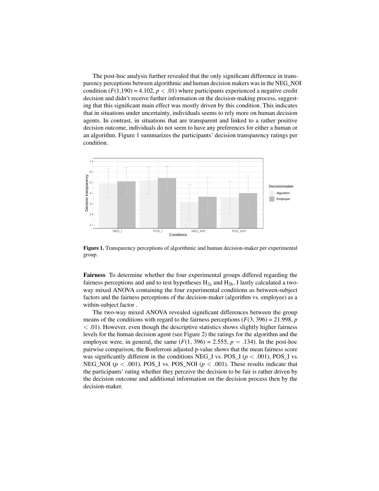The post-hoc analysis further revealed that the only significant difference in transparency perceptions between algorithmic and human decision makers was in the NEG\_NOI condition  $(F(1,190) = 4.102, p < .01)$  where participants experienced a negative credit decision and didn't receive further information on the decision-making process, suggesting that this significant main effect was mostly driven by this condition. This indicates that in situations under uncertainty, individuals seems to rely more on human decision agents. In contrast, in situations that are transparent and linked to a rather positive decision outcome, individuals do not seem to have any preferences for either a human or an algorithm. Figure [1](#page-9-0) summarizes the participants' decision transparency ratings per condition.

<span id="page-9-0"></span>

Figure 1. Transparency perceptions of algorithmic and human decision-maker per experimental group.

Fairness To determine whether the four experimental groups differed regarding the fairness perceptions and and to test hypotheses  $H<sub>2a</sub>$  and  $H<sub>2b</sub>$ , I lastly calculated a twoway mixed ANOVA containing the four experimental conditions as between-subject factors and the fairness perceptions of the decision-maker (algorithm vs. employee) as a within-subject factor .

The two-way mixed ANOVA revealed significant differences between the group means of the conditions with regard to the fairness perceptions  $(F(3, 396) = 21.998, p$ < .01). However, even though the descriptive statistics shows slightly higher fairness levels for the human decision agent (see Figure [2\)](#page-10-0) the ratings for the algorithm and the employee were, in general, the same  $(F(1, 396) = 2.555, p = .134)$ . In the post-hoc pairwise comparison, the Bonferroni adjusted p-value shows that the mean fairness score was significantly different in the conditions NEG<sub>L</sub>I vs. POS<sub>LI</sub> ( $p < .001$ ), POS<sub>LI</sub> vs. NEG\_NOI ( $p < .001$ ), POS\_I vs. POS\_NOI ( $p < .001$ ). These results indicate that the participants' rating whether they perceive the decision to be fair is rather driven by the decision outcome and additional information on the decision process then by the decision-maker.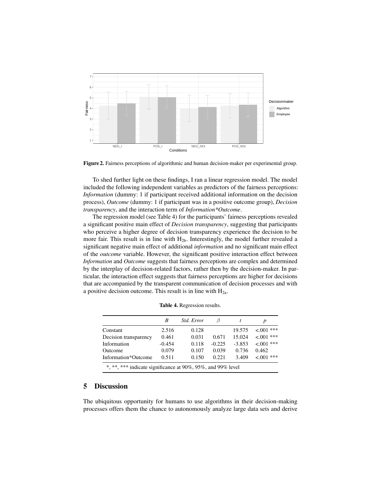<span id="page-10-0"></span>

Figure 2. Fairness perceptions of algorithmic and human decision-maker per experimental group.

To shed further light on these findings, I ran a linear regression model. The model included the following independent variables as predictors of the fairness perceptions: *Information* (dummy: 1 if participant received additional information on the decision process), *Outcome* (dummy: 1 if participant was in a positive outcome group), *Decision transparency*, and the interaction term of *Information\*Outcome*.

The regression model (see Table [4\)](#page-10-1) for the participants' fairness perceptions revealed a significant positive main effect of *Decision transparency*, suggesting that participants who perceive a higher degree of decision transparency experience the decision to be more fair. This result is in line with  $H_{2b}$ . Interestingly, the model further revealed a significant negative main effect of additional *information* and no significant main effect of the *outcome* variable. However, the significant positive interaction effect between *Information* and *Outcome* suggests that fairness perceptions are complex and determined by the interplay of decision-related factors, rather then by the decision-maker. In particular, the interaction effect suggests that fairness perceptions are higher for decisions that are accompanied by the transparent communication of decision processes and with a positive decision outcome. This result is in line with  $H_{2a}$ .

<span id="page-10-1"></span>

|                                                             | B        | <i>Std. Error</i> | 17       |          |               |  |
|-------------------------------------------------------------|----------|-------------------|----------|----------|---------------|--|
| Constant                                                    | 2.516    | 0.128             |          | 19.575   | $<001***$     |  |
| Decision transparency                                       | 0.461    | 0.031             | 0.671    | 15.024   | ***<br>< 0.01 |  |
| Information                                                 | $-0.454$ | 0.118             | $-0.225$ | $-3.853$ | $<001***$     |  |
| Outcome                                                     | 0.079    | 0.107             | 0.039    | 0.736    | 0.462         |  |
| Information*Outcome                                         | 0.511    | 0.150             | 0.221    | 3.409    | $<001***$     |  |
| *, **, *** indicate significance at 90%, 95%, and 99% level |          |                   |          |          |               |  |

Table 4. Regression results.

# 5 Discussion

The ubiquitous opportunity for humans to use algorithms in their decision-making processes offers them the chance to autonomously analyze large data sets and derive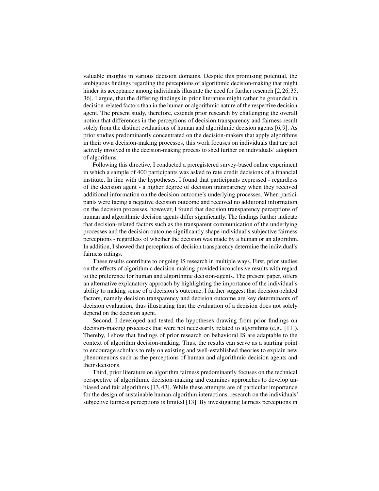valuable insights in various decision domains. Despite this promising potential, the ambiguous findings regarding the perceptions of algorithmic decision-making that might hinder its acceptance among individuals illustrate the need for further research [\[2,](#page-13-1) [26,](#page-14-5) [35,](#page-14-15) [36\]](#page-14-16). I argue, that the differing findings in prior literature might rather be grounded in decision-related factors than in the human or algorithmic nature of the respective decision agent. The present study, therefore, extends prior research by challenging the overall notion that differences in the perceptions of decision transparency and fairness result solely from the distinct evaluations of human and algorithmic decision agents [\[6,](#page-13-5) [9\]](#page-13-8). As prior studies predominantly concentrated on the decision-makers that apply algorithms in their own decision-making processes, this work focuses on individuals that are not actively involved in the decision-making process to shed further on individuals' adoption of algorithms.

Following this directive, I conducted a preregistered survey-based online experiment in which a sample of 400 participants was asked to rate credit decisions of a financial institute. In line with the hypotheses, I found that participants expressed - regardless of the decision agent - a higher degree of decision transparency when they received additional information on the decision outcome's underlying processes. When participants were facing a negative decision outcome and received no additional information on the decision processes, however, I found that decision transparency perceptions of human and algorithmic decision agents differ significantly. The findings further indicate that decision-related factors such as the transparent communication of the underlying processes and the decision outcome significantly shape individual's subjective fairness perceptions - regardless of whether the decision was made by a human or an algorithm. In addition, I showed that perceptions of decision transparency determine the individual's fairness ratings.

These results contribute to ongoing IS research in multiple ways. First, prior studies on the effects of algorithmic decision-making provided inconclusive results with regard to the preference for human and algorithmic decision-agents. The present paper, offers an alternative explanatory approach by highlighting the importance of the individual's ability to making sense of a decision's outcome. I further suggest that decision-related factors, namely decision transparency and decision outcome are key determinants of decision evaluation, thus illustrating that the evaluation of a decision does not solely depend on the decision agent.

Second, I developed and tested the hypotheses drawing from prior findings on decision-making processes that were not necessarily related to algorithms (e.g., [\[11\]](#page-13-10)). Thereby, I show that findings of prior research on behavioral IS are adaptable to the context of algorithm decision-making. Thus, the results can serve as a starting point to encourage scholars to rely on existing and well-established theories to explain new phenomenons such as the perceptions of human and algorithmic decision agents and their decisions.

Third, prior literature on algorithm fairness predominantly focuses on the technical perspective of algorithmic decision-making and examines approaches to develop unbiased and fair algorithms [\[13,](#page-13-14) [43\]](#page-15-4). While these attempts are of particular importance for the design of sustainable human-algorithm interactions, research on the individuals' subjective fairness perceptions is limited [\[13\]](#page-13-14). By investigating fairness perceptions in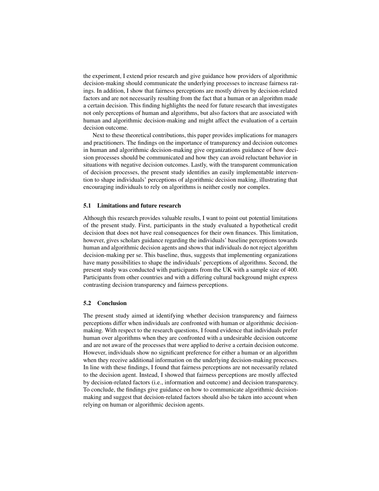the experiment, I extend prior research and give guidance how providers of algorithmic decision-making should communicate the underlying processes to increase fairness ratings. In addition, I show that fairness perceptions are mostly driven by decision-related factors and are not necessarily resulting from the fact that a human or an algorithm made a certain decision. This finding highlights the need for future research that investigates not only perceptions of human and algorithms, but also factors that are associated with human and algorithmic decision-making and might affect the evaluation of a certain decision outcome.

Next to these theoretical contributions, this paper provides implications for managers and practitioners. The findings on the importance of transparency and decision outcomes in human and algorithmic decision-making give organizations guidance of how decision processes should be communicated and how they can avoid reluctant behavior in situations with negative decision outcomes. Lastly, with the transparent communication of decision processes, the present study identifies an easily implementable intervention to shape individuals' perceptions of algorithmic decision making, illustrating that encouraging individuals to rely on algorithms is neither costly nor complex.

#### 5.1 Limitations and future research

Although this research provides valuable results, I want to point out potential limitations of the present study. First, participants in the study evaluated a hypothetical credit decision that does not have real consequences for their own finances. This limitation, however, gives scholars guidance regarding the individuals' baseline perceptions towards human and algorithmic decision agents and shows that individuals do not reject algorithm decision-making per se. This baseline, thus, suggests that implementing organizations have many possibilities to shape the individuals' perceptions of algorithms. Second, the present study was conducted with participants from the UK with a sample size of 400. Participants from other countries and with a differing cultural background might express contrasting decision transparency and fairness perceptions.

#### 5.2 Conclusion

The present study aimed at identifying whether decision transparency and fairness perceptions differ when individuals are confronted with human or algorithmic decisionmaking. With respect to the research questions, I found evidence that individuals prefer human over algorithms when they are confronted with a undesirable decision outcome and are not aware of the processes that were applied to derive a certain decision outcome. However, individuals show no significant preference for either a human or an algorithm when they receive additional information on the underlying decision-making processes. In line with these findings, I found that fairness perceptions are not necessarily related to the decision agent. Instead, I showed that fairness perceptions are mostly affected by decision-related factors (i.e., information and outcome) and decision transparency. To conclude, the findings give guidance on how to communicate algorithmic decisionmaking and suggest that decision-related factors should also be taken into account when relying on human or algorithmic decision agents.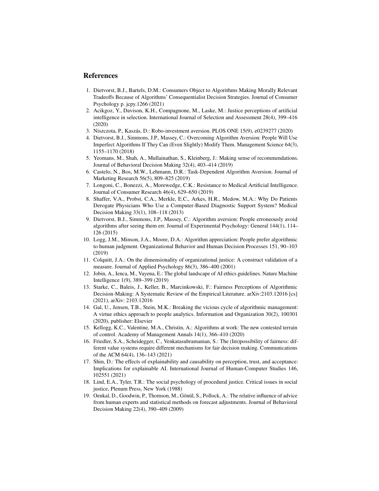## References

- <span id="page-13-0"></span>1. Dietvorst, B.J., Bartels, D.M.: Consumers Object to Algorithms Making Morally Relevant Tradeoffs Because of Algorithms' Consequentialist Decision Strategies. Journal of Consumer Psychology p. jcpy.1266 (2021)
- <span id="page-13-1"></span>2. Acikgoz, Y., Davison, K.H., Compagnone, M., Laske, M.: Justice perceptions of artificial intelligence in selection. International Journal of Selection and Assessment 28(4), 399–416 (2020)
- <span id="page-13-2"></span>3. Niszczota, P., Kaszás, D.: Robo-investment aversion. PLOS ONE 15(9), e0239277 (2020)
- <span id="page-13-3"></span>4. Dietvorst, B.J., Simmons, J.P., Massey, C.: Overcoming Algorithm Aversion: People Will Use Imperfect Algorithms If They Can (Even Slightly) Modify Them. Management Science 64(3), 1155–1170 (2018)
- <span id="page-13-4"></span>5. Yeomans, M., Shah, A., Mullainathan, S., Kleinberg, J.: Making sense of recommendations. Journal of Behavioral Decision Making 32(4), 403–414 (2019)
- <span id="page-13-5"></span>6. Castelo, N., Bos, M.W., Lehmann, D.R.: Task-Dependent Algorithm Aversion. Journal of Marketing Research 56(5), 809–825 (2019)
- <span id="page-13-6"></span>7. Longoni, C., Bonezzi, A., Morewedge, C.K.: Resistance to Medical Artificial Intelligence. Journal of Consumer Research 46(4), 629–650 (2019)
- <span id="page-13-7"></span>8. Shaffer, V.A., Probst, C.A., Merkle, E.C., Arkes, H.R., Medow, M.A.: Why Do Patients Derogate Physicians Who Use a Computer-Based Diagnostic Support System? Medical Decision Making 33(1), 108–118 (2013)
- <span id="page-13-8"></span>9. Dietvorst, B.J., Simmons, J.P., Massey, C.: Algorithm aversion: People erroneously avoid algorithms after seeing them err. Journal of Experimental Psychology: General 144(1), 114– 126 (2015)
- <span id="page-13-9"></span>10. Logg, J.M., Minson, J.A., Moore, D.A.: Algorithm appreciation: People prefer algorithmic to human judgment. Organizational Behavior and Human Decision Processes 151, 90–103 (2019)
- <span id="page-13-10"></span>11. Colquitt, J.A.: On the dimensionality of organizational justice: A construct validation of a measure. Journal of Applied Psychology 86(3), 386–400 (2001)
- <span id="page-13-11"></span>12. Jobin, A., Ienca, M., Vayena, E.: The global landscape of AI ethics guidelines. Nature Machine Intelligence 1(9), 389–399 (2019)
- <span id="page-13-14"></span>13. Starke, C., Baleis, J., Keller, B., Marcinkowski, F.: Fairness Perceptions of Algorithmic Decision-Making: A Systematic Review of the Empirical Literature. arXiv:2103.12016 [cs] (2021), arXiv: 2103.12016
- 14. Gal, U., Jensen, T.B., Stein, M.K.: Breaking the vicious cycle of algorithmic management: A virtue ethics approach to people analytics. Information and Organization 30(2), 100301 (2020), publisher: Elsevier
- <span id="page-13-12"></span>15. Kellogg, K.C., Valentine, M.A., Christin, A.: Algorithms at work: The new contested terrain of control. Academy of Management Annals 14(1), 366–410 (2020)
- <span id="page-13-13"></span>16. Friedler, S.A., Scheidegger, C., Venkatasubramanian, S.: The (Im)possibility of fairness: different value systems require different mechanisms for fair decision making. Communications of the ACM 64(4), 136–143 (2021)
- <span id="page-13-15"></span>17. Shin, D.: The effects of explainability and causability on perception, trust, and acceptance: Implications for explainable AI. International Journal of Human-Computer Studies 146, 102551 (2021)
- <span id="page-13-16"></span>18. Lind, E.A., Tyler, T.R.: The social psychology of procedural justice. Critical issues in social justice, Plenum Press, New York (1988)
- <span id="page-13-17"></span>19. Oenkal, D., Goodwin, P., Thomson, M., Gönül, S., Pollock, A.: The relative influence of advice from human experts and statistical methods on forecast adjustments. Journal of Behavioral Decision Making 22(4), 390–409 (2009)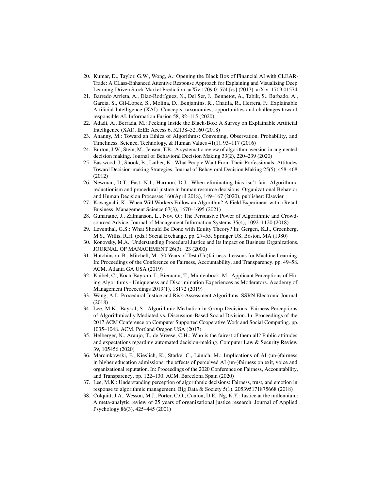- <span id="page-14-0"></span>20. Kumar, D., Taylor, G.W., Wong, A.: Opening the Black Box of Financial AI with CLEAR-Trade: A CLass-Enhanced Attentive Response Approach for Explaining and Visualizing Deep Learning-Driven Stock Market Prediction. arXiv:1709.01574 [cs] (2017), arXiv: 1709.01574
- <span id="page-14-11"></span>21. Barredo Arrieta, A., Díaz-Rodríguez, N., Del Ser, J., Bennetot, A., Tabik, S., Barbado, A., Garcia, S., Gil-Lopez, S., Molina, D., Benjamins, R., Chatila, R., Herrera, F.: Explainable Artificial Intelligence (XAI): Concepts, taxonomies, opportunities and challenges toward responsible AI. Information Fusion 58, 82–115 (2020)
- <span id="page-14-1"></span>22. Adadi, A., Berrada, M.: Peeking Inside the Black-Box: A Survey on Explainable Artificial Intelligence (XAI). IEEE Access 6, 52138–52160 (2018)
- <span id="page-14-2"></span>23. Ananny, M.: Toward an Ethics of Algorithms: Convening, Observation, Probability, and Timeliness. Science, Technology, & Human Values 41(1), 93–117 (2016)
- <span id="page-14-3"></span>24. Burton, J.W., Stein, M., Jensen, T.B.: A systematic review of algorithm aversion in augmented decision making. Journal of Behavioral Decision Making 33(2), 220–239 (2020)
- <span id="page-14-4"></span>25. Eastwood, J., Snook, B., Luther, K.: What People Want From Their Professionals: Attitudes Toward Decision-making Strategies. Journal of Behavioral Decision Making 25(5), 458–468 (2012)
- <span id="page-14-5"></span>26. Newman, D.T., Fast, N.J., Harmon, D.J.: When eliminating bias isn't fair: Algorithmic reductionism and procedural justice in human resource decisions. Organizational Behavior and Human Decision Processes 160(April 2018), 149–167 (2020), publisher: Elsevier
- <span id="page-14-6"></span>27. Kawaguchi, K.: When Will Workers Follow an Algorithm? A Field Experiment with a Retail Business. Management Science 67(3), 1670–1695 (2021)
- <span id="page-14-7"></span>28. Gunaratne, J., Zalmanson, L., Nov, O.: The Persuasive Power of Algorithmic and Crowdsourced Advice. Journal of Management Information Systems 35(4), 1092–1120 (2018)
- <span id="page-14-8"></span>29. Leventhal, G.S.: What Should Be Done with Equity Theory? In: Gergen, K.J., Greenberg, M.S., Willis, R.H. (eds.) Social Exchange, pp. 27–55. Springer US, Boston, MA (1980)
- <span id="page-14-9"></span>30. Konovsky, M.A.: Understanding Procedural Justice and Its Impact on Business Organizations. JOURNAL OF MANAGEMENT 26(3), 23 (2000)
- <span id="page-14-10"></span>31. Hutchinson, B., Mitchell, M.: 50 Years of Test (Un)fairness: Lessons for Machine Learning. In: Proceedings of the Conference on Fairness, Accountability, and Transparency. pp. 49–58. ACM, Atlanta GA USA (2019)
- <span id="page-14-12"></span>32. Kaibel, C., Koch-Bayram, I., Biemann, T., Mühlenbock, M.: Applicant Perceptions of Hiring Algorithms - Uniqueness and Discrimination Experiences as Moderators. Academy of Management Proceedings 2019(1), 18172 (2019)
- <span id="page-14-13"></span>33. Wang, A.J.: Procedural Justice and Risk-Assessment Algorithms. SSRN Electronic Journal (2018)
- <span id="page-14-14"></span>34. Lee, M.K., Baykal, S.: Algorithmic Mediation in Group Decisions: Fairness Perceptions of Algorithmically Mediated vs. Discussion-Based Social Division. In: Proceedings of the 2017 ACM Conference on Computer Supported Cooperative Work and Social Computing. pp. 1035–1048. ACM, Portland Oregon USA (2017)
- <span id="page-14-15"></span>35. Helberger, N., Araujo, T., de Vreese, C.H.: Who is the fairest of them all? Public attitudes and expectations regarding automated decision-making. Computer Law & Security Review 39, 105456 (2020)
- <span id="page-14-16"></span>36. Marcinkowski, F., Kieslich, K., Starke, C., Lünich, M.: Implications of AI (un-)fairness in higher education admissions: the effects of perceived AI (un-)fairness on exit, voice and organizational reputation. In: Proceedings of the 2020 Conference on Fairness, Accountability, and Transparency. pp. 122–130. ACM, Barcelona Spain (2020)
- <span id="page-14-17"></span>37. Lee, M.K.: Understanding perception of algorithmic decisions: Fairness, trust, and emotion in response to algorithmic management. Big Data & Society 5(1), 205395171875668 (2018)
- <span id="page-14-18"></span>38. Colquitt, J.A., Wesson, M.J., Porter, C.O., Conlon, D.E., Ng, K.Y.: Justice at the millennium: A meta-analytic review of 25 years of organizational justice research. Journal of Applied Psychology 86(3), 425–445 (2001)